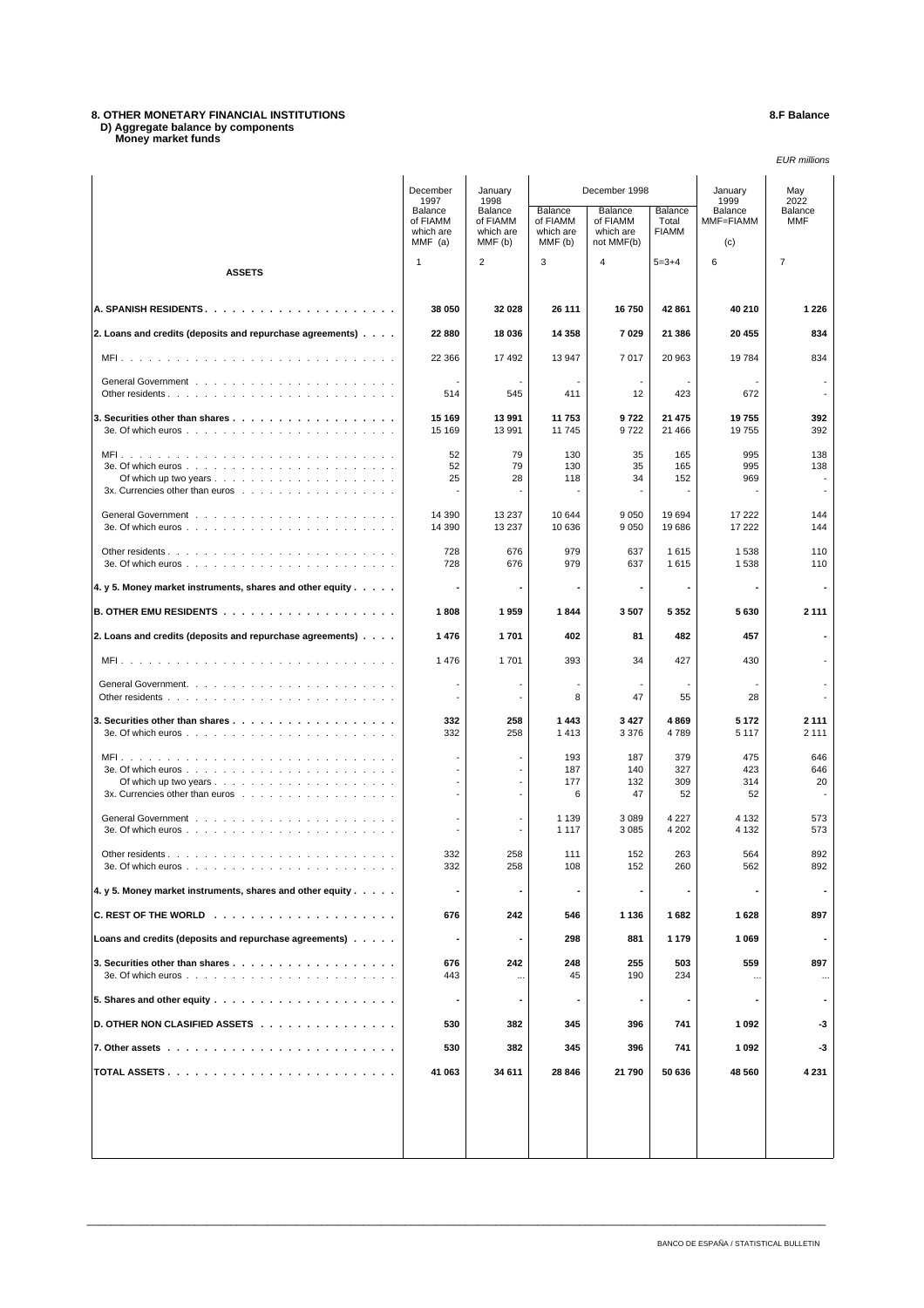# **8. OTHER MONETARY FINANCIAL INSTITUTIONS 8.F Balance D) Aggregate balance by components Money market funds**

### EUR millions

|                                                                                                                                  | December<br>1997                              | January<br>1998                             | December 1998                               |                                                |                                  | January<br>1999             | May<br>2022              |
|----------------------------------------------------------------------------------------------------------------------------------|-----------------------------------------------|---------------------------------------------|---------------------------------------------|------------------------------------------------|----------------------------------|-----------------------------|--------------------------|
|                                                                                                                                  | Balance<br>of FIAMM<br>which are<br>$MMF$ (a) | Balance<br>of FIAMM<br>which are<br>MMF (b) | Balance<br>of FIAMM<br>which are<br>MMF (b) | Balance<br>of FIAMM<br>which are<br>not MMF(b) | Balance<br>Total<br><b>FIAMM</b> | Balance<br>MMF=FIAMM<br>(c) | Balance<br>MMF           |
| <b>ASSETS</b>                                                                                                                    | $\mathbf{1}$                                  | $\overline{2}$                              | 3                                           | $\overline{4}$                                 | $5 = 3 + 4$                      | 6                           | $\overline{7}$           |
|                                                                                                                                  | 38 050                                        | 32 0 28                                     | 26 111                                      | 16750                                          | 42 861                           | 40 210                      | 1 2 2 6                  |
| 2. Loans and credits (deposits and repurchase agreements)                                                                        | 22 880                                        | 18 036                                      | 14 3 58                                     | 7029                                           | 21 386                           | 20 455                      | 834                      |
|                                                                                                                                  | 22 3 66                                       | 17492                                       | 13 947                                      | 7017                                           | 20 963                           | 19784                       | 834                      |
|                                                                                                                                  | 514                                           | $\overline{\phantom{a}}$<br>545             | $\blacksquare$<br>411                       | $\blacksquare$<br>12                           | 423                              | 672                         | $\overline{\phantom{a}}$ |
|                                                                                                                                  | 15 169<br>15 169                              | 13 991<br>13 991                            | 11 753<br>11745                             | 9722<br>9722                                   | 21 475<br>21 466                 | 19755<br>19755              | 392<br>392               |
| Of which up two years $\ldots$ $\ldots$ $\ldots$ $\ldots$ $\ldots$ $\ldots$ $\ldots$ $\ldots$<br>3x. Currencies other than euros | 52<br>52<br>25                                | 79<br>79<br>28<br>$\overline{a}$            | 130<br>130<br>118                           | 35<br>35<br>34<br>$\blacksquare$               | 165<br>165<br>152                | 995<br>995<br>969           | 138<br>138               |
|                                                                                                                                  | 14 390<br>14 390                              | 13 237<br>13 237                            | 10 644<br>10 636                            | 9 0 5 0<br>9 0 5 0                             | 19694<br>19686                   | 17 222<br>17 222            | 144<br>144               |
|                                                                                                                                  | 728<br>728                                    | 676<br>676                                  | 979<br>979                                  | 637<br>637                                     | 1615<br>1615                     | 1538<br>1538                | 110<br>110               |
| 4. y 5. Money market instruments, shares and other equity                                                                        |                                               |                                             |                                             | $\overline{\phantom{a}}$                       | $\blacksquare$                   |                             | $\overline{\phantom{a}}$ |
|                                                                                                                                  | 1808                                          | 1959                                        | 1844                                        | 3507                                           | 5 3 5 2                          | 5630                        | 2 1 1 1                  |
| 2. Loans and credits (deposits and repurchase agreements)                                                                        | 1476                                          | 1701                                        | 402                                         | 81                                             | 482                              | 457                         |                          |
|                                                                                                                                  | 1476                                          | 1701                                        | 393                                         | 34                                             | 427                              | 430                         |                          |
|                                                                                                                                  |                                               | $\blacksquare$<br>$\overline{\phantom{a}}$  | 8                                           | 47                                             | 55                               | 28                          |                          |
|                                                                                                                                  | 332<br>332                                    | 258<br>258                                  | 1443<br>1413                                | 3427<br>3 3 7 6                                | 4869<br>4789                     | 5 1 7 2<br>5 1 1 7          | 2 1 1 1<br>2 1 1 1       |
|                                                                                                                                  |                                               | $\overline{\phantom{a}}$                    | 193<br>187                                  | 187<br>140                                     | 379<br>327                       | 475<br>423                  | 646<br>646               |
| 3x. Currencies other than euros                                                                                                  |                                               | $\overline{a}$<br>$\overline{\phantom{a}}$  | 177<br>6                                    | 132<br>47                                      | 309<br>52                        | 314<br>52                   | 20                       |
|                                                                                                                                  | $\overline{\phantom{a}}$                      | $\overline{\phantom{a}}$                    | 1 1 3 9                                     | 3 0 8 9                                        | 4 2 2 7                          | 4 1 3 2                     | 573                      |
|                                                                                                                                  |                                               |                                             | 1 1 1 7                                     | 3 0 8 5                                        | 4 202                            | 4 1 3 2                     | 573                      |
| 3e. Of which euros.                                                                                                              | 332<br>332                                    | 258<br>258                                  | 111<br>108                                  | 152<br>152                                     | 263<br>260                       | 564<br>562                  | 892<br>892               |
| 4. y 5. Money market instruments, shares and other equity                                                                        |                                               |                                             |                                             |                                                |                                  |                             |                          |
|                                                                                                                                  | 676                                           | 242                                         | 546                                         | 1 1 3 6                                        | 1682                             | 1628                        | 897                      |
| Loans and credits (deposits and repurchase agreements)                                                                           |                                               | $\overline{\phantom{a}}$                    | 298                                         | 881                                            | 1 1 7 9                          | 1 0 6 9                     | ٠                        |
| 3e. Of which euros $\ldots$ $\ldots$ $\ldots$ $\ldots$ $\ldots$ $\ldots$ $\ldots$ $\ldots$ $\ldots$ $\ldots$                     | 676<br>443                                    | 242<br>$\cdots$                             | 248<br>45                                   | 255<br>190                                     | 503<br>234                       | 559                         | 897                      |
|                                                                                                                                  |                                               |                                             |                                             |                                                |                                  |                             |                          |
| D. OTHER NON CLASIFIED ASSETS                                                                                                    | 530                                           | 382                                         | 345                                         | 396                                            | 741                              | 1 0 9 2                     | -3                       |
|                                                                                                                                  | 530                                           | 382                                         | 345                                         | 396                                            | 741                              | 1 0 9 2                     | -3                       |
|                                                                                                                                  | 41 063                                        | 34 611                                      | 28 846                                      | 21 790                                         | 50 636                           | 48 560                      | 4 231                    |
|                                                                                                                                  |                                               |                                             |                                             |                                                |                                  |                             |                          |
|                                                                                                                                  |                                               |                                             |                                             |                                                |                                  |                             |                          |

\_\_\_\_\_\_\_\_\_\_\_\_\_\_\_\_\_\_\_\_\_\_\_\_\_\_\_\_\_\_\_\_\_\_\_\_\_\_\_\_\_\_\_\_\_\_\_\_\_\_\_\_\_\_\_\_\_\_\_\_\_\_\_\_\_\_\_\_\_\_\_\_\_\_\_\_\_\_\_\_\_\_\_\_\_\_\_\_\_\_\_\_\_\_\_\_\_\_\_\_\_\_\_\_\_\_\_\_\_\_\_\_\_\_\_\_\_\_\_\_\_\_\_